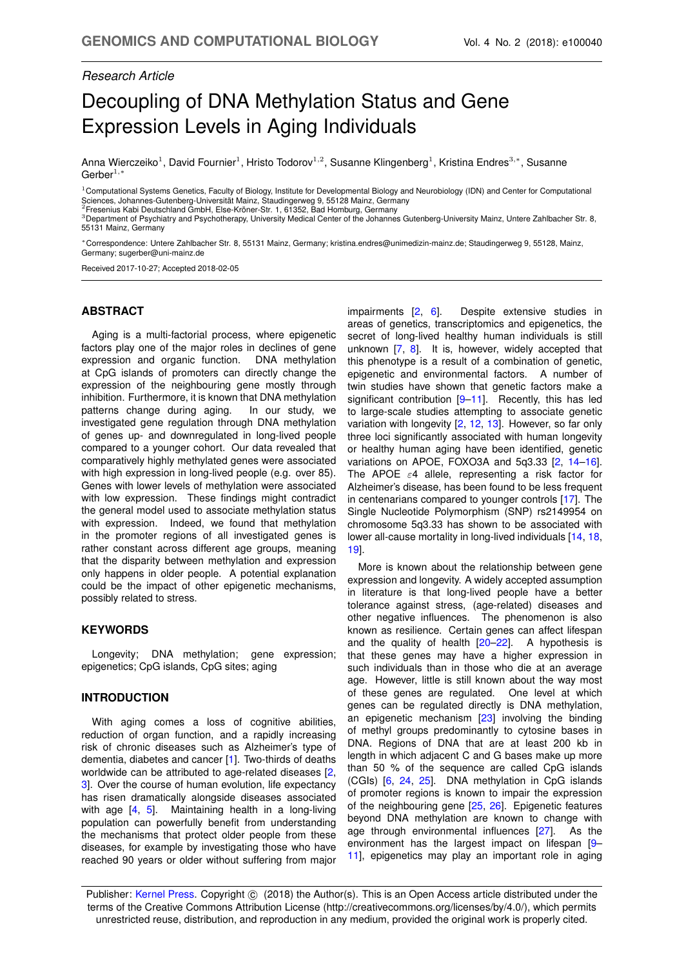# *Research Article*

# Decoupling of DNA Methylation Status and Gene Expression Levels in Aging Individuals

Anna Wierczeiko<sup>1</sup>, David Fournier<sup>1</sup>, Hristo Todorov<sup>1,2</sup>, Susanne Klingenberg<sup>1</sup>, Kristina Endres<sup>3,</sup>\*, Susanne Gerber $1,$ <sup>\*</sup>

<sup>1</sup> Computational Systems Genetics, Faculty of Biology, Institute for Developmental Biology and Neurobiology (IDN) and Center for Computational Sciences, Johannes-Gutenberg-Universität Mainz, Staudingerweg 9, 55128 Mainz, Germany

<sup>2</sup>Fresenius Kabi Deutschland GmbH, Else-Kröner-Str. 1, 61352, Bad Homburg, Germany

3Department of Psychiatry and Psychotherapy, University Medical Center of the Johannes Gutenberg-University Mainz, Untere Zahlbacher Str. 8, 55131 Mainz, Germany

<sup>∗</sup>Correspondence: Untere Zahlbacher Str. 8, 55131 Mainz, Germany; kristina.endres@unimedizin-mainz.de; Staudingerweg 9, 55128, Mainz, Germany; sugerber@uni-mainz.de

Received 2017-10-27; Accepted 2018-02-05

# **ABSTRACT**

Aging is a multi-factorial process, where epigenetic factors play one of the major roles in declines of gene expression and organic function. DNA methylation at CpG islands of promoters can directly change the expression of the neighbouring gene mostly through inhibition. Furthermore, it is known that DNA methylation patterns change during aging. In our study, we investigated gene regulation through DNA methylation of genes up- and downregulated in long-lived people compared to a younger cohort. Our data revealed that comparatively highly methylated genes were associated with high expression in long-lived people (e.g. over 85). Genes with lower levels of methylation were associated with low expression. These findings might contradict the general model used to associate methylation status with expression. Indeed, we found that methylation in the promoter regions of all investigated genes is rather constant across different age groups, meaning that the disparity between methylation and expression only happens in older people. A potential explanation could be the impact of other epigenetic mechanisms, possibly related to stress.

#### **KEYWORDS**

Longevity; DNA methylation; gene expression; epigenetics; CpG islands, CpG sites; aging

#### **INTRODUCTION**

With aging comes a loss of cognitive abilities, reduction of organ function, and a rapidly increasing risk of chronic diseases such as Alzheimer's type of dementia, diabetes and cancer [\[1\]](#page-5-0). Two-thirds of deaths worldwide can be attributed to age-related diseases [\[2,](#page-5-1) [3\]](#page-5-2). Over the course of human evolution, life expectancy has risen dramatically alongside diseases associated with age [\[4,](#page-5-3) [5\]](#page-5-4). Maintaining health in a long-living population can powerfully benefit from understanding the mechanisms that protect older people from these diseases, for example by investigating those who have reached 90 years or older without suffering from major impairments [\[2,](#page-5-1) [6\]](#page-5-5). Despite extensive studies in areas of genetics, transcriptomics and epigenetics, the secret of long-lived healthy human individuals is still unknown [\[7,](#page-5-6) [8\]](#page-5-7). It is, however, widely accepted that this phenotype is a result of a combination of genetic, epigenetic and environmental factors. A number of twin studies have shown that genetic factors make a significant contribution [\[9](#page-5-8)[–11\]](#page-5-9). Recently, this has led to large-scale studies attempting to associate genetic variation with longevity [\[2,](#page-5-1) [12,](#page-5-10) [13\]](#page-5-11). However, so far only three loci significantly associated with human longevity or healthy human aging have been identified, genetic variations on APOE, FOXO3A and 5q3.33 [\[2,](#page-5-1) [14](#page-5-12)[–16\]](#page-5-13). The APOE  $\varepsilon$ 4 allele, representing a risk factor for Alzheimer's disease, has been found to be less frequent in centenarians compared to younger controls [\[17\]](#page-6-0). The Single Nucleotide Polymorphism (SNP) rs2149954 on chromosome 5q3.33 has shown to be associated with lower all-cause mortality in long-lived individuals [\[14,](#page-5-12) [18,](#page-6-1) [19\]](#page-6-2).

More is known about the relationship between gene expression and longevity. A widely accepted assumption in literature is that long-lived people have a better tolerance against stress, (age-related) diseases and other negative influences. The phenomenon is also known as resilience. Certain genes can affect lifespan and the quality of health [\[20](#page-6-3)[–22\]](#page-6-4). A hypothesis is that these genes may have a higher expression in such individuals than in those who die at an average age. However, little is still known about the way most of these genes are regulated. One level at which genes can be regulated directly is DNA methylation, an epigenetic mechanism [\[23\]](#page-6-5) involving the binding of methyl groups predominantly to cytosine bases in DNA. Regions of DNA that are at least 200 kb in length in which adjacent C and G bases make up more than 50 % of the sequence are called CpG islands (CGIs) [\[6,](#page-5-5) [24,](#page-6-6) [25\]](#page-6-7). DNA methylation in CpG islands of promoter regions is known to impair the expression of the neighbouring gene [\[25,](#page-6-7) [26\]](#page-6-8). Epigenetic features beyond DNA methylation are known to change with age through environmental influences [\[27\]](#page-6-9). As the environment has the largest impact on lifespan [\[9–](#page-5-8) [11\]](#page-5-9), epigenetics may play an important role in aging

Publisher: [Kernel Press.](www.KernelPress.de) Copyright  $\circledcirc$  (2018) the Author(s). This is an Open Access article distributed under the terms of the Creative Commons Attribution License (http://creativecommons.org/licenses/by/4.0/), which permits unrestricted reuse, distribution, and reproduction in any medium, provided the original work is properly cited.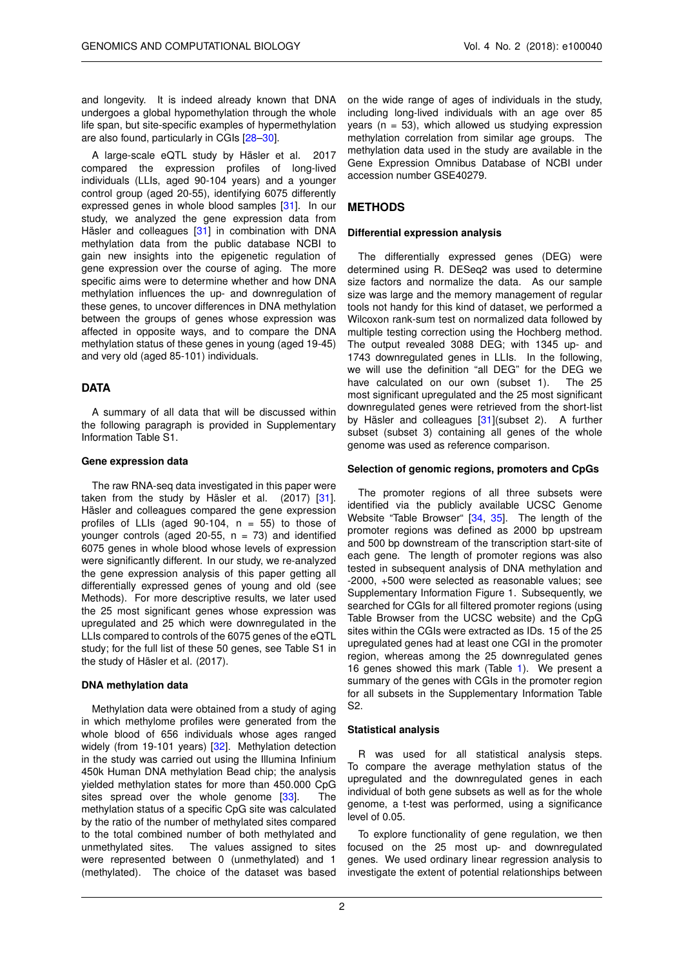and longevity. It is indeed already known that DNA undergoes a global hypomethylation through the whole life span, but site-specific examples of hypermethylation are also found, particularly in CGIs [\[28–](#page-6-10)[30\]](#page-6-11).

A large-scale eQTL study by Häsler et al. 2017 compared the expression profiles of long-lived individuals (LLIs, aged 90-104 years) and a younger control group (aged 20-55), identifying 6075 differently expressed genes in whole blood samples [\[31\]](#page-6-12). In our study, we analyzed the gene expression data from Häsler and colleagues [\[31\]](#page-6-12) in combination with DNA methylation data from the public database NCBI to gain new insights into the epigenetic regulation of gene expression over the course of aging. The more specific aims were to determine whether and how DNA methylation influences the up- and downregulation of these genes, to uncover differences in DNA methylation between the groups of genes whose expression was affected in opposite ways, and to compare the DNA methylation status of these genes in young (aged 19-45) and very old (aged 85-101) individuals.

# **DATA**

A summary of all data that will be discussed within the following paragraph is provided in Supplementary Information Table S1.

#### **Gene expression data**

The raw RNA-seq data investigated in this paper were taken from the study by Häsler et al. (2017) [\[31\]](#page-6-12). Häsler and colleagues compared the gene expression profiles of LLIs (aged 90-104,  $n = 55$ ) to those of younger controls (aged 20-55,  $n = 73$ ) and identified 6075 genes in whole blood whose levels of expression were significantly different. In our study, we re-analyzed the gene expression analysis of this paper getting all differentially expressed genes of young and old (see Methods). For more descriptive results, we later used the 25 most significant genes whose expression was upregulated and 25 which were downregulated in the LLIs compared to controls of the 6075 genes of the eQTL study; for the full list of these 50 genes, see Table S1 in the study of Häsler et al. (2017).

# **DNA methylation data**

Methylation data were obtained from a study of aging in which methylome profiles were generated from the whole blood of 656 individuals whose ages ranged widely (from 19-101 years) [\[32\]](#page-6-13). Methylation detection in the study was carried out using the Illumina Infinium 450k Human DNA methylation Bead chip; the analysis yielded methylation states for more than 450.000 CpG sites spread over the whole genome [\[33\]](#page-6-14). The methylation status of a specific CpG site was calculated by the ratio of the number of methylated sites compared to the total combined number of both methylated and unmethylated sites. The values assigned to sites The values assigned to sites. were represented between 0 (unmethylated) and 1 (methylated). The choice of the dataset was based

on the wide range of ages of individuals in the study, including long-lived individuals with an age over 85 years ( $n = 53$ ), which allowed us studying expression methylation correlation from similar age groups. The methylation data used in the study are available in the Gene Expression Omnibus Database of NCBI under accession number GSE40279.

# **METHODS**

#### **Differential expression analysis**

The differentially expressed genes (DEG) were determined using R. DESeq2 was used to determine size factors and normalize the data. As our sample size was large and the memory management of regular tools not handy for this kind of dataset, we performed a Wilcoxon rank-sum test on normalized data followed by multiple testing correction using the Hochberg method. The output revealed 3088 DEG; with 1345 up- and 1743 downregulated genes in LLIs. In the following, we will use the definition "all DEG" for the DEG we have calculated on our own (subset 1). The 25 most significant upregulated and the 25 most significant downregulated genes were retrieved from the short-list by Häsler and colleagues [\[31\]](#page-6-12) (subset 2). A further subset (subset 3) containing all genes of the whole genome was used as reference comparison.

#### **Selection of genomic regions, promoters and CpGs**

The promoter regions of all three subsets were identified via the publicly available UCSC Genome Website "Table Browser" [\[34,](#page-6-15) [35\]](#page-6-16). The length of the promoter regions was defined as 2000 bp upstream and 500 bp downstream of the transcription start-site of each gene. The length of promoter regions was also tested in subsequent analysis of DNA methylation and -2000, +500 were selected as reasonable values; see Supplementary Information Figure 1. Subsequently, we searched for CGIs for all filtered promoter regions (using Table Browser from the UCSC website) and the CpG sites within the CGIs were extracted as IDs. 15 of the 25 upregulated genes had at least one CGI in the promoter region, whereas among the 25 downregulated genes 16 genes showed this mark (Table [1\)](#page-2-0). We present a summary of the genes with CGIs in the promoter region for all subsets in the Supplementary Information Table S2.

#### **Statistical analysis**

R was used for all statistical analysis steps. To compare the average methylation status of the upregulated and the downregulated genes in each individual of both gene subsets as well as for the whole genome, a t-test was performed, using a significance level of 0.05.

To explore functionality of gene regulation, we then focused on the 25 most up- and downregulated genes. We used ordinary linear regression analysis to investigate the extent of potential relationships between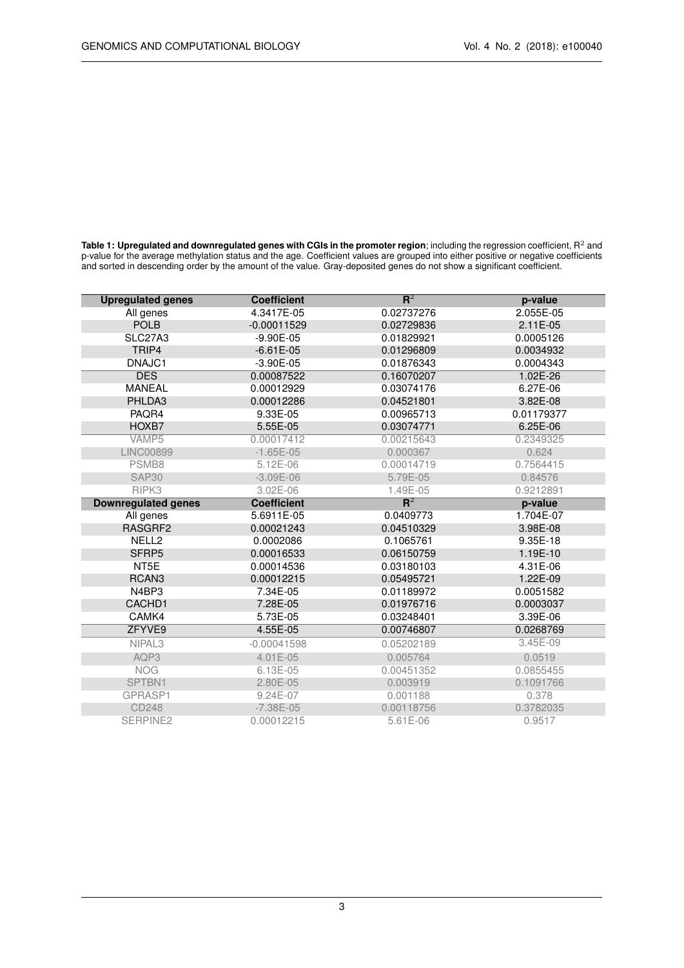<span id="page-2-0"></span>**Table 1: Upregulated and downregulated genes with CGIs in the promoter region**; including the regression coefficient,  $\mathsf{R}^2$  and p-value for the average methylation status and the age. Coefficient values are grouped into either positive or negative coefficients and sorted in descending order by the amount of the value. Gray-deposited genes do not show a significant coefficient.

| <b>Upregulated genes</b>   | <b>Coefficient</b> | ${\bf R}^2$ | p-value    |
|----------------------------|--------------------|-------------|------------|
| All genes                  | 4.3417E-05         | 0.02737276  | 2.055E-05  |
| <b>POLB</b>                | $-0.00011529$      | 0.02729836  | $2.11E-05$ |
| SLC27A3                    | $-9.90E - 05$      | 0.01829921  | 0.0005126  |
| TRIP4                      | $-6.61E-05$        | 0.01296809  | 0.0034932  |
| DNAJC1                     | $-3.90E - 05$      | 0.01876343  | 0.0004343  |
| <b>DES</b>                 | 0.00087522         | 0.16070207  | 1.02E-26   |
| <b>MANEAL</b>              | 0.00012929         | 0.03074176  | 6.27E-06   |
| PHLDA3                     | 0.00012286         | 0.04521801  | 3.82E-08   |
| PAQR4                      | 9.33E-05           | 0.00965713  | 0.01179377 |
| HOXB7                      | 5.55E-05           | 0.03074771  | 6.25E-06   |
| VAMP5                      | 0.00017412         | 0.00215643  | 0.2349325  |
| <b>LINC00899</b>           | $-1.65E-05$        | 0.000367    | 0.624      |
| PSMB8                      | 5.12E-06           | 0.00014719  | 0.7564415  |
| SAP <sub>30</sub>          | $-3.09E-06$        | 5.79E-05    | 0.84576    |
| RIPK3                      | 3.02E-06           | 1.49E-05    | 0.9212891  |
| <b>Downregulated genes</b> | <b>Coefficient</b> | ${\bf R}^2$ | p-value    |
| All genes                  | 5.6911E-05         | 0.0409773   | 1.704E-07  |
| RASGRF2                    | 0.00021243         | 0.04510329  | 3.98E-08   |
| NELL <sub>2</sub>          | 0.0002086          | 0.1065761   | 9.35E-18   |
| SFRP5                      | 0.00016533         | 0.06150759  | 1.19E-10   |
| NT5E                       | 0.00014536         | 0.03180103  | 4.31E-06   |
| RCAN <sub>3</sub>          | 0.00012215         | 0.05495721  | 1.22E-09   |
| N4BP3                      | 7.34E-05           | 0.01189972  | 0.0051582  |
| CACHD1                     | 7.28E-05           | 0.01976716  | 0.0003037  |
| CAMK4                      | 5.73E-05           | 0.03248401  | 3.39E-06   |
| ZFYVE9                     | 4.55E-05           | 0.00746807  | 0.0268769  |
| NIPAL <sub>3</sub>         | $-0.00041598$      | 0.05202189  | 3.45E-09   |
| AQP3                       | 4.01E-05           | 0.005764    | 0.0519     |
| <b>NOG</b>                 | 6.13E-05           | 0.00451352  | 0.0855455  |
| SPTBN1                     | 2.80E-05           | 0.003919    | 0.1091766  |
| GPRASP1                    | 9.24E-07           | 0.001188    | 0.378      |
| <b>CD248</b>               | $-7.38E - 05$      | 0.00118756  | 0.3782035  |
| SERPINE <sub>2</sub>       | 0.00012215         | 5.61E-06    | 0.9517     |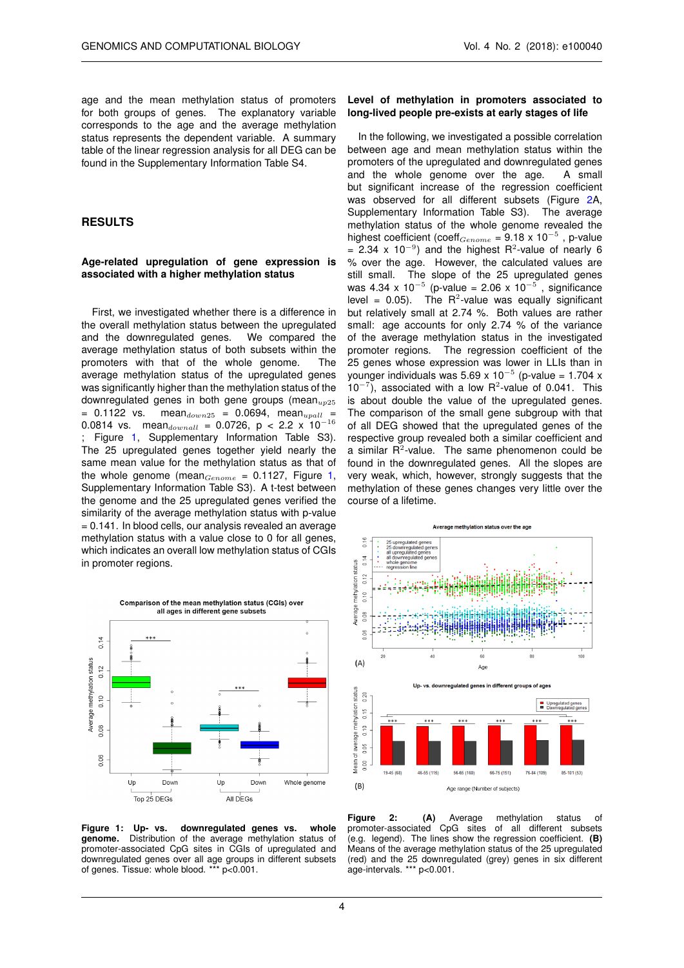age and the mean methylation status of promoters for both groups of genes. The explanatory variable corresponds to the age and the average methylation status represents the dependent variable. A summary table of the linear regression analysis for all DEG can be found in the Supplementary Information Table S4.

#### **RESULTS**

#### **Age-related upregulation of gene expression is associated with a higher methylation status**

First, we investigated whether there is a difference in the overall methylation status between the upregulated and the downregulated genes. We compared the average methylation status of both subsets within the promoters with that of the whole genome. The average methylation status of the upregulated genes was significantly higher than the methylation status of the downregulated genes in both gene groups (mean $_{225}$  $= 0.1122$  vs. mean<sub>down25</sub> = 0.0694, mean<sub>upall</sub> = 0.0814 vs. meandownall = 0.0726, p < 2.2 x 10<sup>-16</sup> Figure [1,](#page-3-0) Supplementary Information Table S3). The 25 upregulated genes together yield nearly the same mean value for the methylation status as that of the whole genome (mean $_{Genome}$  = 0.1127, Figure [1,](#page-3-0) Supplementary Information Table S3). A t-test between the genome and the 25 upregulated genes verified the similarity of the average methylation status with p-value = 0.141. In blood cells, our analysis revealed an average methylation status with a value close to 0 for all genes. which indicates an overall low methylation status of CGIs in promoter regions.

<span id="page-3-0"></span>

**Figure 1: Up- vs. downregulated genes vs. whole genome.** Distribution of the average methylation status of promoter-associated CpG sites in CGIs of upregulated and downregulated genes over all age groups in different subsets of genes. Tissue: whole blood. \*\*\* p<0.001.

#### **Level of methylation in promoters associated to long-lived people pre-exists at early stages of life**

In the following, we investigated a possible correlation between age and mean methylation status within the promoters of the upregulated and downregulated genes and the whole genome over the age. A small but significant increase of the regression coefficient was observed for all different subsets (Figure [2A](#page-3-1), Supplementary Information Table S3). The average methylation status of the whole genome revealed the highest coefficient (coeff<sub>Genome</sub> = 9.18 x 10<sup>-5</sup>, p-value = 2.34 x 10<sup>-9</sup>) and the highest R<sup>2</sup>-value of nearly 6 % over the age. However, the calculated values are still small. The slope of the 25 upregulated genes was 4.34 x 10<sup>-5</sup> (p-value = 2.06 x 10<sup>-5</sup>, significance level =  $0.05$ ). The R<sup>2</sup>-value was equally significant but relatively small at 2.74 %. Both values are rather small: age accounts for only 2.74 % of the variance of the average methylation status in the investigated promoter regions. The regression coefficient of the 25 genes whose expression was lower in LLIs than in younger individuals was 5.69 x 10<sup>-5</sup> (p-value = 1.704 x  $10^{-7}$ ), associated with a low R<sup>2</sup>-value of 0.041. This is about double the value of the upregulated genes. The comparison of the small gene subgroup with that of all DEG showed that the upregulated genes of the respective group revealed both a similar coefficient and a similar  $R^2$ -value. The same phenomenon could be found in the downregulated genes. All the slopes are very weak, which, however, strongly suggests that the methylation of these genes changes very little over the course of a lifetime.

<span id="page-3-1"></span>

**Figure 2: (A)** Average methylation status of promoter-associated CpG sites of all different subsets (e.g. legend). The lines show the regression coefficient. **(B)** Means of the average methylation status of the 25 upregulated (red) and the 25 downregulated (grey) genes in six different age-intervals. \*\*\* p<0.001.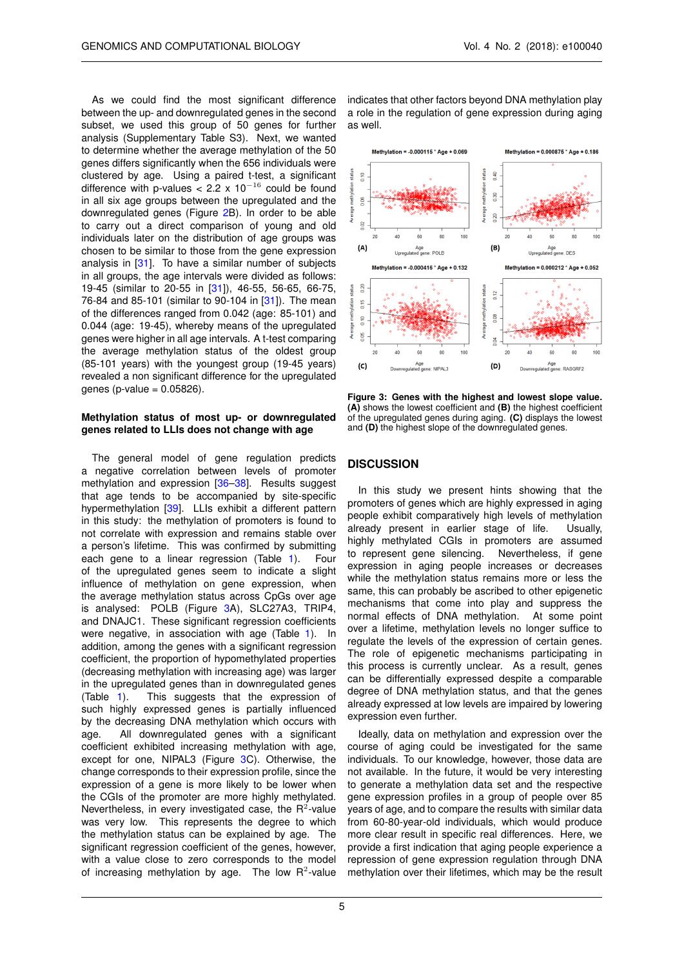As we could find the most significant difference between the up- and downregulated genes in the second subset, we used this group of 50 genes for further analysis (Supplementary Table S3). Next, we wanted to determine whether the average methylation of the 50 genes differs significantly when the 656 individuals were clustered by age. Using a paired t-test, a significant difference with p-values <  $2.2 \times 10^{-16}$  could be found in all six age groups between the upregulated and the downregulated genes (Figure [2B](#page-3-1)). In order to be able to carry out a direct comparison of young and old individuals later on the distribution of age groups was chosen to be similar to those from the gene expression analysis in [\[31\]](#page-6-12). To have a similar number of subjects in all groups, the age intervals were divided as follows: 19-45 (similar to 20-55 in [\[31\]](#page-6-12)), 46-55, 56-65, 66-75, 76-84 and 85-101 (similar to 90-104 in [\[31\]](#page-6-12)). The mean of the differences ranged from 0.042 (age: 85-101) and 0.044 (age: 19-45), whereby means of the upregulated genes were higher in all age intervals. A t-test comparing the average methylation status of the oldest group (85-101 years) with the youngest group (19-45 years) revealed a non significant difference for the upregulated genes (p-value  $= 0.05826$ ).

#### **Methylation status of most up- or downregulated genes related to LLIs does not change with age**

The general model of gene regulation predicts a negative correlation between levels of promoter methylation and expression [\[36](#page-6-17)[–38\]](#page-6-18). Results suggest that age tends to be accompanied by site-specific hypermethylation [\[39\]](#page-6-19). LLIs exhibit a different pattern in this study: the methylation of promoters is found to not correlate with expression and remains stable over a person's lifetime. This was confirmed by submitting each gene to a linear regression (Table [1\)](#page-2-0). Four of the upregulated genes seem to indicate a slight influence of methylation on gene expression, when the average methylation status across CpGs over age is analysed: POLB (Figure [3A](#page-4-0)), SLC27A3, TRIP4, and DNAJC1. These significant regression coefficients were negative, in association with age (Table [1\)](#page-2-0). In addition, among the genes with a significant regression coefficient, the proportion of hypomethylated properties (decreasing methylation with increasing age) was larger in the upregulated genes than in downregulated genes (Table [1\)](#page-2-0). This suggests that the expression of such highly expressed genes is partially influenced by the decreasing DNA methylation which occurs with age. All downregulated genes with a significant coefficient exhibited increasing methylation with age, except for one, NIPAL3 (Figure [3C](#page-4-0)). Otherwise, the change corresponds to their expression profile, since the expression of a gene is more likely to be lower when the CGIs of the promoter are more highly methylated. Nevertheless, in every investigated case, the  $R^2$ -value was very low. This represents the degree to which the methylation status can be explained by age. The significant regression coefficient of the genes, however, with a value close to zero corresponds to the model of increasing methylation by age. The low  $R^2$ -value

indicates that other factors beyond DNA methylation play a role in the regulation of gene expression during aging as well.

<span id="page-4-0"></span>

**Figure 3: Genes with the highest and lowest slope value. (A)** shows the lowest coefficient and **(B)** the highest coefficient of the upregulated genes during aging. **(C)** displays the lowest and **(D)** the highest slope of the downregulated genes.

# **DISCUSSION**

In this study we present hints showing that the promoters of genes which are highly expressed in aging people exhibit comparatively high levels of methylation already present in earlier stage of life. Usually, highly methylated CGIs in promoters are assumed to represent gene silencing. Nevertheless, if gene expression in aging people increases or decreases while the methylation status remains more or less the same, this can probably be ascribed to other epigenetic mechanisms that come into play and suppress the normal effects of DNA methylation. At some point over a lifetime, methylation levels no longer suffice to regulate the levels of the expression of certain genes. The role of epigenetic mechanisms participating in this process is currently unclear. As a result, genes can be differentially expressed despite a comparable degree of DNA methylation status, and that the genes already expressed at low levels are impaired by lowering expression even further.

Ideally, data on methylation and expression over the course of aging could be investigated for the same individuals. To our knowledge, however, those data are not available. In the future, it would be very interesting to generate a methylation data set and the respective gene expression profiles in a group of people over 85 years of age, and to compare the results with similar data from 60-80-year-old individuals, which would produce more clear result in specific real differences. Here, we provide a first indication that aging people experience a repression of gene expression regulation through DNA methylation over their lifetimes, which may be the result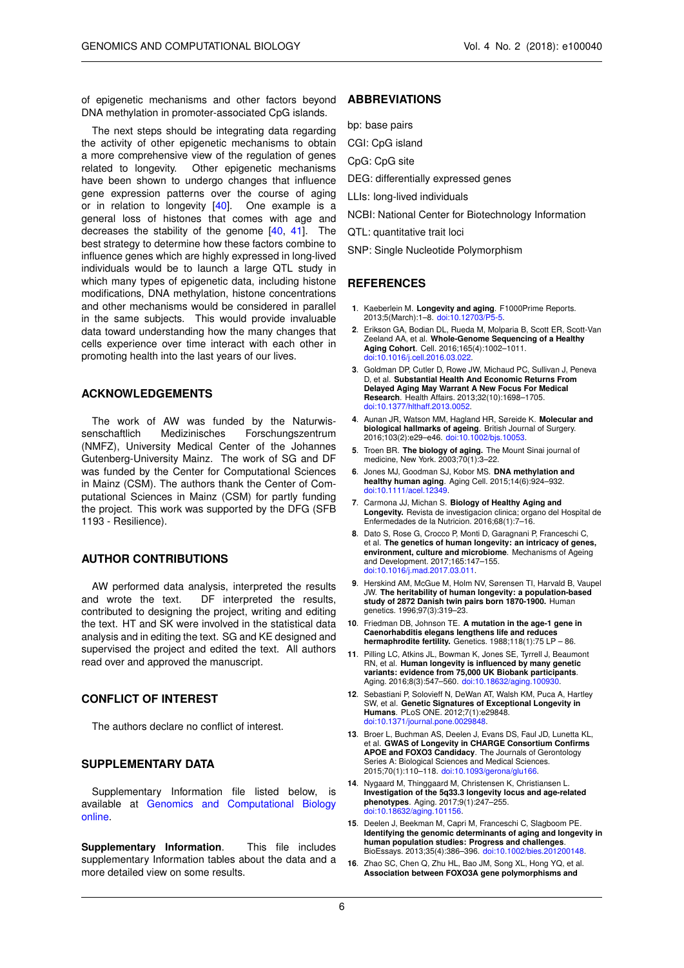of epigenetic mechanisms and other factors beyond DNA methylation in promoter-associated CpG islands.

The next steps should be integrating data regarding the activity of other epigenetic mechanisms to obtain a more comprehensive view of the regulation of genes related to longevity. Other epigenetic mechanisms have been shown to undergo changes that influence gene expression patterns over the course of aging or in relation to longevity  $[40]$ . One example is a general loss of histones that comes with age and decreases the stability of the genome [\[40,](#page-6-20) [41\]](#page-6-21). The best strategy to determine how these factors combine to influence genes which are highly expressed in long-lived individuals would be to launch a large QTL study in which many types of epigenetic data, including histone modifications, DNA methylation, histone concentrations and other mechanisms would be considered in parallel in the same subjects. This would provide invaluable data toward understanding how the many changes that cells experience over time interact with each other in promoting health into the last years of our lives.

# **ACKNOWLEDGEMENTS**

The work of AW was funded by the Naturwissenschaftlich Medizinisches Forschungszentrum (NMFZ), University Medical Center of the Johannes Gutenberg-University Mainz. The work of SG and DF was funded by the Center for Computational Sciences in Mainz (CSM). The authors thank the Center of Computational Sciences in Mainz (CSM) for partly funding the project. This work was supported by the DFG (SFB 1193 - Resilience).

# **AUTHOR CONTRIBUTIONS**

AW performed data analysis, interpreted the results and wrote the text. DF interpreted the results, contributed to designing the project, writing and editing the text. HT and SK were involved in the statistical data analysis and in editing the text. SG and KE designed and supervised the project and edited the text. All authors read over and approved the manuscript.

# **CONFLICT OF INTEREST**

The authors declare no conflict of interest.

#### **SUPPLEMENTARY DATA**

Supplementary Information file listed below, is available at [Genomics and Computational Biology](http://doi.org/10.18547/gcb.2018.vol4.iss2.e100040) [online.](http://doi.org/10.18547/gcb.2018.vol4.iss2.e100040)

**Supplementary Information**. This file includes supplementary Information tables about the data and a more detailed view on some results.

## **ABBREVIATIONS**

bp: base pairs

- CGI: CpG island
- CpG: CpG site
- DEG: differentially expressed genes
- LLIs: long-lived individuals
- NCBI: National Center for Biotechnology Information
- QTL: quantitative trait loci
- SNP: Single Nucleotide Polymorphism

#### **REFERENCES**

- <span id="page-5-0"></span>**1**. Kaeberlein M. **Longevity and aging**. F1000Prime Reports. 2013;5(March):1–8. [doi:10.12703/P5-5.](http://dx.doi.org/10.12703/P5-5)
- <span id="page-5-1"></span>**2**. Erikson GA, Bodian DL, Rueda M, Molparia B, Scott ER, Scott-Van Zeeland AA, et al. **Whole-Genome Sequencing of a Healthy Aging Cohort**. Cell. 2016;165(4):1002–1011. [doi:10.1016/j.cell.2016.03.022.](http://dx.doi.org/10.1016/j.cell.2016.03.022)
- <span id="page-5-2"></span>**3**. Goldman DP, Cutler D, Rowe JW, Michaud PC, Sullivan J, Peneva D, et al. **Substantial Health And Economic Returns From Delayed Aging May Warrant A New Focus For Medical Research**. Health Affairs. 2013;32(10):1698–1705. [doi:10.1377/hlthaff.2013.0052.](http://dx.doi.org/10.1377/hlthaff.2013.0052)
- <span id="page-5-3"></span>**4**. Aunan JR, Watson MM, Hagland HR, Søreide K. **Molecular and biological hallmarks of ageing**. British Journal of Surgery. 2016;103(2):e29–e46. [doi:10.1002/bjs.10053.](http://dx.doi.org/10.1002/bjs.10053)
- <span id="page-5-4"></span>**5**. Troen BR. **The biology of aging.** The Mount Sinai journal of medicine, New York. 2003;70(1):3–22.
- <span id="page-5-5"></span>**6**. Jones MJ, Goodman SJ, Kobor MS. **DNA methylation and healthy human aging**. Aging Cell. 2015;14(6):924–932. doi:10.1111/acel.12
- <span id="page-5-6"></span>**7**. Carmona JJ, Michan S. **Biology of Healthy Aging and Longevity.** Revista de investigacion clinica; organo del Hospital de Enfermedades de la Nutricion. 2016;68(1):7–16.
- <span id="page-5-7"></span>**8**. Dato S, Rose G, Crocco P, Monti D, Garagnani P, Franceschi C, et al. **The genetics of human longevity: an intricacy of genes, environment, culture and microbiome**. Mechanisms of Ageing and Development. 2017;165:147–155. [doi:10.1016/j.mad.2017.03.011.](http://dx.doi.org/10.1016/j.mad.2017.03.011)
- <span id="page-5-8"></span>**9**. Herskind AM, McGue M, Holm NV, Sørensen TI, Harvald B, Vaupel JW. **The heritability of human longevity: a population-based study of 2872 Danish twin pairs born 1870-1900.** Human genetics. 1996;97(3):319–23.
- **10**. Friedman DB, Johnson TE. **A mutation in the age-1 gene in Caenorhabditis elegans lengthens life and reduces hermaphrodite fertility.** Genetics. 1988;118(1):75 LP – 86.
- <span id="page-5-9"></span>**11**. Pilling LC, Atkins JL, Bowman K, Jones SE, Tyrrell J, Beaumont RN, et al. **Human longevity is influenced by many genetic variants: evidence from 75,000 UK Biobank participants**. Aging. 2016;8(3):547–560. [doi:10.18632/aging.100930.](http://dx.doi.org/10.18632/aging.100930)
- <span id="page-5-10"></span>**12**. Sebastiani P, Solovieff N, DeWan AT, Walsh KM, Puca A, Hartley SW, et al. **Genetic Signatures of Exceptional Longevity in Humans**. PLoS ONE. 2012;7(1):e29848. [doi:10.1371/journal.pone.0029848.](http://dx.doi.org/10.1371/journal.pone.0029848)
- <span id="page-5-11"></span>**13**. Broer L, Buchman AS, Deelen J, Evans DS, Faul JD, Lunetta KL, et al. **GWAS of Longevity in CHARGE Consortium Confirms APOE and FOXO3 Candidacy**. The Journals of Gerontology Series A: Biological Sciences and Medical Sciences. 2015;70(1):110–118. [doi:10.1093/gerona/glu166.](http://dx.doi.org/10.1093/gerona/glu166)
- <span id="page-5-12"></span>**14**. Nygaard M, Thinggaard M, Christensen K, Christiansen L. **Investigation of the 5q33.3 longevity locus and age-related phenotypes**. Aging. 2017;9(1):247–255. [doi:10.18632/aging.101156.](http://dx.doi.org/10.18632/aging.101156)
- **15**. Deelen J, Beekman M, Capri M, Franceschi C, Slagboom PE. **Identifying the genomic determinants of aging and longevity in human population studies: Progress and challenges**. BioEssays. 2013;35(4):386–396. [doi:10.1002/bies.201200148.](http://dx.doi.org/10.1002/bies.201200148)
- <span id="page-5-13"></span>**16**. Zhao SC, Chen Q, Zhu HL, Bao JM, Song XL, Hong YQ, et al. **Association between FOXO3A gene polymorphisms and**